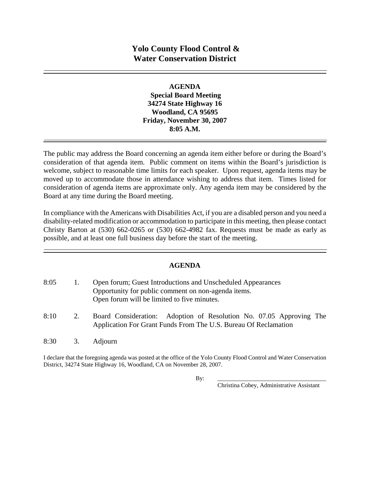#### **AGENDA**

 **Special Board Meeting 34274 State Highway 16 Woodland, CA 95695 Friday, November 30, 2007 8:05 A.M.** 

The public may address the Board concerning an agenda item either before or during the Board's consideration of that agenda item. Public comment on items within the Board's jurisdiction is welcome, subject to reasonable time limits for each speaker. Upon request, agenda items may be moved up to accommodate those in attendance wishing to address that item. Times listed for consideration of agenda items are approximate only. Any agenda item may be considered by the Board at any time during the Board meeting.

In compliance with the Americans with Disabilities Act, if you are a disabled person and you need a disability-related modification or accommodation to participate in this meeting, then please contact Christy Barton at (530) 662-0265 or (530) 662-4982 fax. Requests must be made as early as possible, and at least one full business day before the start of the meeting.

### **AGENDA**

| 8:05 |    | Open forum; Guest Introductions and Unscheduled Appearances<br>Opportunity for public comment on non-agenda items.<br>Open forum will be limited to five minutes. |
|------|----|-------------------------------------------------------------------------------------------------------------------------------------------------------------------|
| 8:10 | 2. | Board Consideration: Adoption of Resolution No. 07.05 Approving The<br>Application For Grant Funds From The U.S. Bureau Of Reclamation                            |
| 8:30 | 3. | <b>Adjourn</b>                                                                                                                                                    |

I declare that the foregoing agenda was posted at the office of the Yolo County Flood Control and Water Conservation District, 34274 State Highway 16, Woodland, CA on November 28, 2007.

By: \_\_\_\_\_\_\_\_\_\_\_\_\_\_\_\_\_\_\_\_\_\_\_\_\_\_\_\_\_\_\_\_\_\_\_\_\_

Christina Cobey, Administrative Assistant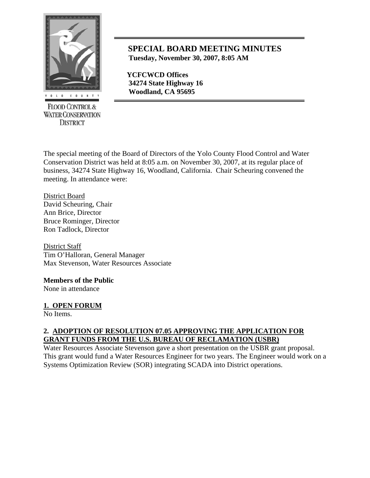

**FLOOD CONTROL & WATER CONSERVATION DISTRICT** 

# **SPECIAL BOARD MEETING MINUTES Tuesday, November 30, 2007, 8:05 AM**

 **YCFCWCD Offices 34274 State Highway 16**   *Woodland, CA 95695* 

The special meeting of the Board of Directors of the Yolo County Flood Control and Water Conservation District was held at 8:05 a.m. on November 30, 2007, at its regular place of business, 34274 State Highway 16, Woodland, California. Chair Scheuring convened the meeting. In attendance were:

District Board David Scheuring, Chair Ann Brice, Director Bruce Rominger, Director Ron Tadlock, Director

District Staff Tim O'Halloran, General Manager Max Stevenson, Water Resources Associate

## **Members of the Public**

None in attendance

### **1. OPEN FORUM**

No Items.

### **2. ADOPTION OF RESOLUTION 07.05 APPROVING THE APPLICATION FOR GRANT FUNDS FROM THE U.S. BUREAU OF RECLAMATION (USBR)**

Water Resources Associate Stevenson gave a short presentation on the USBR grant proposal. This grant would fund a Water Resources Engineer for two years. The Engineer would work on a Systems Optimization Review (SOR) integrating SCADA into District operations.